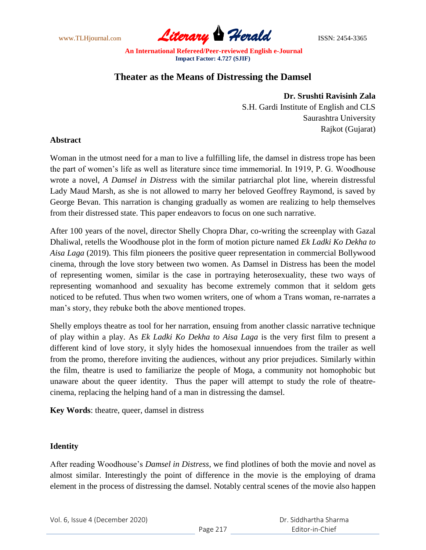

# **Theater as the Means of Distressing the Damsel**

## **Dr. Srushti Ravisinh Zala**

S.H. Gardi Institute of English and CLS Saurashtra University Rajkot (Gujarat)

### **Abstract**

Woman in the utmost need for a man to live a fulfilling life, the damsel in distress trope has been the part of women"s life as well as literature since time immemorial. In 1919, P. G. Woodhouse wrote a novel, *A Damsel in Distress* with the similar patriarchal plot line, wherein distressful Lady Maud Marsh, as she is not allowed to marry her beloved Geoffrey Raymond, is saved by George Bevan. This narration is changing gradually as women are realizing to help themselves from their distressed state. This paper endeavors to focus on one such narrative.

After 100 years of the novel, director Shelly Chopra Dhar, co-writing the screenplay with Gazal Dhaliwal, retells the Woodhouse plot in the form of motion picture named *Ek Ladki Ko Dekha to Aisa Laga* (2019). This film pioneers the positive queer representation in commercial Bollywood cinema, through the love story between two women. As Damsel in Distress has been the model of representing women, similar is the case in portraying heterosexuality, these two ways of representing womanhood and sexuality has become extremely common that it seldom gets noticed to be refuted. Thus when two women writers, one of whom a Trans woman, re-narrates a man"s story, they rebuke both the above mentioned tropes.

Shelly employs theatre as tool for her narration, ensuing from another classic narrative technique of play within a play. As *Ek Ladki Ko Dekha to Aisa Laga* is the very first film to present a different kind of love story, it slyly hides the homosexual innuendoes from the trailer as well from the promo, therefore inviting the audiences, without any prior prejudices. Similarly within the film, theatre is used to familiarize the people of Moga, a community not homophobic but unaware about the queer identity. Thus the paper will attempt to study the role of theatrecinema, replacing the helping hand of a man in distressing the damsel.

**Key Words**: theatre, queer, damsel in distress

### **Identity**

After reading Woodhouse"s *Damsel in Distress,* we find plotlines of both the movie and novel as almost similar. Interestingly the point of difference in the movie is the employing of drama element in the process of distressing the damsel. Notably central scenes of the movie also happen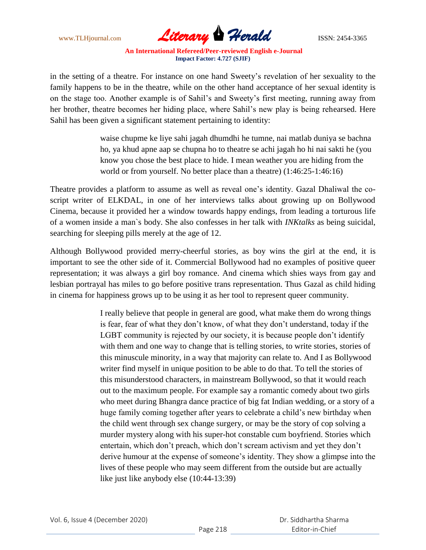

in the setting of a theatre. For instance on one hand Sweety"s revelation of her sexuality to the family happens to be in the theatre, while on the other hand acceptance of her sexual identity is on the stage too. Another example is of Sahil"s and Sweety"s first meeting, running away from her brother, theatre becomes her hiding place, where Sahil"s new play is being rehearsed. Here Sahil has been given a significant statement pertaining to identity:

> waise chupme ke liye sahi jagah dhumdhi he tumne, nai matlab duniya se bachna ho, ya khud apne aap se chupna ho to theatre se achi jagah ho hi nai sakti he (you know you chose the best place to hide. I mean weather you are hiding from the world or from yourself. No better place than a theatre) (1:46:25-1:46:16)

Theatre provides a platform to assume as well as reveal one"s identity. Gazal Dhaliwal the coscript writer of ELKDAL, in one of her interviews talks about growing up on Bollywood Cinema, because it provided her a window towards happy endings, from leading a torturous life of a women inside a man`s body. She also confesses in her talk with *INKtalks* as being suicidal, searching for sleeping pills merely at the age of 12.

Although Bollywood provided merry-cheerful stories, as boy wins the girl at the end, it is important to see the other side of it. Commercial Bollywood had no examples of positive queer representation; it was always a girl boy romance. And cinema which shies ways from gay and lesbian portrayal has miles to go before positive trans representation. Thus Gazal as child hiding in cinema for happiness grows up to be using it as her tool to represent queer community.

> I really believe that people in general are good, what make them do wrong things is fear, fear of what they don"t know, of what they don"t understand, today if the LGBT community is rejected by our society, it is because people don"t identify with them and one way to change that is telling stories, to write stories, stories of this minuscule minority, in a way that majority can relate to. And I as Bollywood writer find myself in unique position to be able to do that. To tell the stories of this misunderstood characters, in mainstream Bollywood, so that it would reach out to the maximum people. For example say a romantic comedy about two girls who meet during Bhangra dance practice of big fat Indian wedding, or a story of a huge family coming together after years to celebrate a child's new birthday when the child went through sex change surgery, or may be the story of cop solving a murder mystery along with his super-hot constable cum boyfriend. Stories which entertain, which don"t preach, which don"t scream activism and yet they don"t derive humour at the expense of someone"s identity. They show a glimpse into the lives of these people who may seem different from the outside but are actually like just like anybody else (10:44-13:39)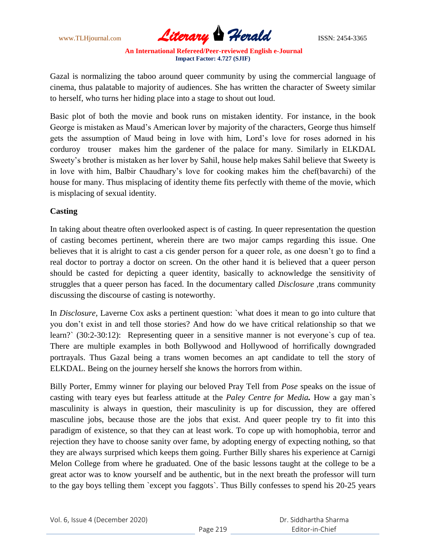

Gazal is normalizing the taboo around queer community by using the commercial language of cinema, thus palatable to majority of audiences. She has written the character of Sweety similar to herself, who turns her hiding place into a stage to shout out loud.

Basic plot of both the movie and book runs on mistaken identity. For instance, in the book George is mistaken as Maud"s American lover by majority of the characters, George thus himself gets the assumption of Maud being in love with him, Lord"s love for roses adorned in his corduroy trouser makes him the gardener of the palace for many. Similarly in ELKDAL Sweety"s brother is mistaken as her lover by Sahil, house help makes Sahil believe that Sweety is in love with him, Balbir Chaudhary"s love for cooking makes him the chef(bavarchi) of the house for many. Thus misplacing of identity theme fits perfectly with theme of the movie, which is misplacing of sexual identity.

### **Casting**

In taking about theatre often overlooked aspect is of casting. In queer representation the question of casting becomes pertinent, wherein there are two major camps regarding this issue. One believes that it is alright to cast a cis gender person for a queer role, as one doesn't go to find a real doctor to portray a doctor on screen. On the other hand it is believed that a queer person should be casted for depicting a queer identity, basically to acknowledge the sensitivity of struggles that a queer person has faced. In the documentary called *Disclosure ,*trans community discussing the discourse of casting is noteworthy.

In *Disclosure,* Laverne Cox asks a pertinent question: `what does it mean to go into culture that you don"t exist in and tell those stories? And how do we have critical relationship so that we learn?` (30:2-30:12): Representing queer in a sensitive manner is not everyone's cup of tea. There are multiple examples in both Bollywood and Hollywood of horrifically downgraded portrayals. Thus Gazal being a trans women becomes an apt candidate to tell the story of ELKDAL. Being on the journey herself she knows the horrors from within.

Billy Porter, Emmy winner for playing our beloved Pray Tell from *Pose* speaks on the issue of casting with teary eyes but fearless attitude at the *Paley Centre for Media.* How a gay man`s masculinity is always in question, their masculinity is up for discussion, they are offered masculine jobs, because those are the jobs that exist. And queer people try to fit into this paradigm of existence, so that they can at least work. To cope up with homophobia, terror and rejection they have to choose sanity over fame, by adopting energy of expecting nothing, so that they are always surprised which keeps them going. Further Billy shares his experience at Carnigi Melon College from where he graduated. One of the basic lessons taught at the college to be a great actor was to know yourself and be authentic, but in the next breath the professor will turn to the gay boys telling them `except you faggots`. Thus Billy confesses to spend his 20-25 years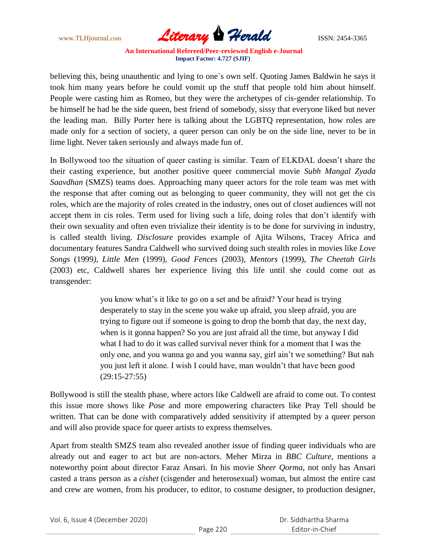

believing this, being unauthentic and lying to one`s own self. Quoting James Baldwin he says it took him many years before he could vomit up the stuff that people told him about himself. People were casting him as Romeo, but they were the archetypes of cis-gender relationship. To be himself he had be the side queen, best friend of somebody, sissy that everyone liked but never the leading man. Billy Porter here is talking about the LGBTQ representation, how roles are made only for a section of society, a queer person can only be on the side line, never to be in lime light. Never taken seriously and always made fun of.

In Bollywood too the situation of queer casting is similar. Team of ELKDAL doesn't share the their casting experience, but another positive queer commercial movie *Subh Mangal Zyada Saavdhan* (SMZS) teams does. Approaching many queer actors for the role team was met with the response that after coming out as belonging to queer community, they will not get the cis roles, which are the majority of roles created in the industry, ones out of closet audiences will not accept them in cis roles. Term used for living such a life, doing roles that don"t identify with their own sexuality and often even trivialize their identity is to be done for surviving in industry, is called stealth living. *Disclosure* provides example of Ajita Wilsons, Tracey Africa and documentary features Sandra Caldwell who survived doing such stealth roles in movies like *Love Songs* (1999*), Little Men* (1999), *Good Fences* (2003), *Mentors* (1999), *The Cheetah Girls* (2003) etc, Caldwell shares her experience living this life until she could come out as transgender:

> you know what"s it like to go on a set and be afraid? Your head is trying desperately to stay in the scene you wake up afraid, you sleep afraid, you are trying to figure out if someone is going to drop the bomb that day, the next day, when is it gonna happen? So you are just afraid all the time, but anyway I did what I had to do it was called survival never think for a moment that I was the only one, and you wanna go and you wanna say, girl ain"t we something? But nah you just left it alone. I wish I could have, man wouldn"t that have been good (29:15-27:55)

Bollywood is still the stealth phase, where actors like Caldwell are afraid to come out. To contest this issue more shows like *Pose* and more empowering characters like Pray Tell should be written. That can be done with comparatively added sensitivity if attempted by a queer person and will also provide space for queer artists to express themselves.

Apart from stealth SMZS team also revealed another issue of finding queer individuals who are already out and eager to act but are non-actors. Meher Mirza in *BBC Culture,* mentions a noteworthy point about director Faraz Ansari. In his movie *Sheer Qorma*, not only has Ansari casted a trans person as a *cishet* (cisgender and heterosexual) woman, but almost the entire cast and crew are women, from his producer, to editor, to costume designer, to production designer,

| Vol. 6, Issue 4 (December 2020) |  |
|---------------------------------|--|
|---------------------------------|--|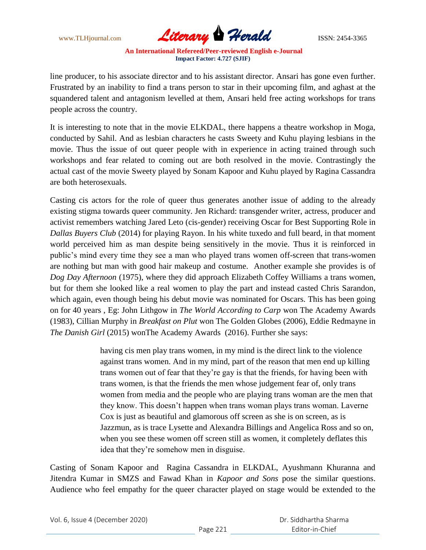

line producer, to his associate director and to his assistant director. Ansari has gone even further. Frustrated by an inability to find a trans person to star in their upcoming film, and aghast at the squandered talent and antagonism levelled at them, Ansari held free acting workshops for trans people across the country.

It is interesting to note that in the movie ELKDAL, there happens a theatre workshop in Moga, conducted by Sahil. And as lesbian characters he casts Sweety and Kuhu playing lesbians in the movie. Thus the issue of out queer people with in experience in acting trained through such workshops and fear related to coming out are both resolved in the movie. Contrastingly the actual cast of the movie Sweety played by Sonam Kapoor and Kuhu played by Ragina Cassandra are both heterosexuals.

Casting cis actors for the role of queer thus generates another issue of adding to the already existing stigma towards queer community. Jen Richard: transgender writer, actress, producer and activist remembers watching Jared Leto (cis-gender) receiving Oscar for Best Supporting Role in *Dallas Buyers Club* (2014) for playing Rayon. In his white tuxedo and full beard, in that moment world perceived him as man despite being sensitively in the movie. Thus it is reinforced in public"s mind every time they see a man who played trans women off-screen that trans-women are nothing but man with good hair makeup and costume. Another example she provides is of *Dog Day Afternoon* (1975), where they did approach Elizabeth Coffey Williams a trans women, but for them she looked like a real women to play the part and instead casted Chris Sarandon, which again, even though being his debut movie was nominated for Oscars. This has been going on for 40 years , Eg: John Lithgow in *The World According to Carp* won The Academy Awards (1983), Cillian Murphy in *Breakfast on Plut* won The Golden Globes (2006), Eddie Redmayne in *The Danish Girl* (2015) wonThe Academy Awards (2016). Further she says:

> having cis men play trans women, in my mind is the direct link to the violence against trans women. And in my mind, part of the reason that men end up killing trans women out of fear that they"re gay is that the friends, for having been with trans women, is that the friends the men whose judgement fear of, only trans women from media and the people who are playing trans woman are the men that they know. This doesn"t happen when trans woman plays trans woman. Laverne Cox is just as beautiful and glamorous off screen as she is on screen, as is Jazzmun, as is trace Lysette and Alexandra Billings and Angelica Ross and so on, when you see these women off screen still as women, it completely deflates this idea that they"re somehow men in disguise.

Casting of Sonam Kapoor and Ragina Cassandra in ELKDAL, Ayushmann Khuranna and Jitendra Kumar in SMZS and Fawad Khan in *Kapoor and Sons* pose the similar questions. Audience who feel empathy for the queer character played on stage would be extended to the

|  | Vol. 6, Issue 4 (December 2020) |  |
|--|---------------------------------|--|
|--|---------------------------------|--|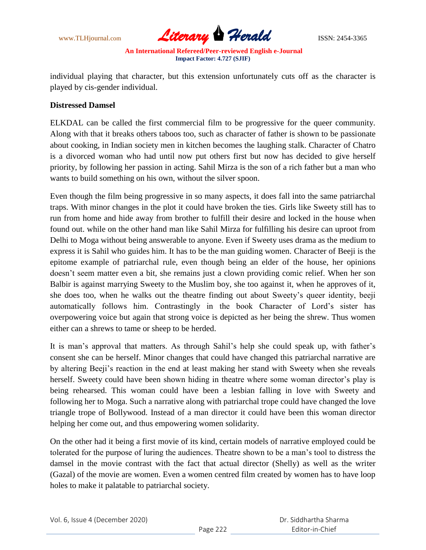

individual playing that character, but this extension unfortunately cuts off as the character is played by cis-gender individual.

#### **Distressed Damsel**

ELKDAL can be called the first commercial film to be progressive for the queer community. Along with that it breaks others taboos too, such as character of father is shown to be passionate about cooking, in Indian society men in kitchen becomes the laughing stalk. Character of Chatro is a divorced woman who had until now put others first but now has decided to give herself priority, by following her passion in acting. Sahil Mirza is the son of a rich father but a man who wants to build something on his own, without the silver spoon.

Even though the film being progressive in so many aspects, it does fall into the same patriarchal traps. With minor changes in the plot it could have broken the ties. Girls like Sweety still has to run from home and hide away from brother to fulfill their desire and locked in the house when found out. while on the other hand man like Sahil Mirza for fulfilling his desire can uproot from Delhi to Moga without being answerable to anyone. Even if Sweety uses drama as the medium to express it is Sahil who guides him. It has to be the man guiding women. Character of Beeji is the epitome example of patriarchal rule, even though being an elder of the house, her opinions doesn't seem matter even a bit, she remains just a clown providing comic relief. When her son Balbir is against marrying Sweety to the Muslim boy, she too against it, when he approves of it, she does too, when he walks out the theatre finding out about Sweety"s queer identity, beeji automatically follows him. Contrastingly in the book Character of Lord"s sister has overpowering voice but again that strong voice is depicted as her being the shrew. Thus women either can a shrews to tame or sheep to be herded.

It is man"s approval that matters. As through Sahil"s help she could speak up, with father"s consent she can be herself. Minor changes that could have changed this patriarchal narrative are by altering Beeji"s reaction in the end at least making her stand with Sweety when she reveals herself. Sweety could have been shown hiding in theatre where some woman director's play is being rehearsed. This woman could have been a lesbian falling in love with Sweety and following her to Moga. Such a narrative along with patriarchal trope could have changed the love triangle trope of Bollywood. Instead of a man director it could have been this woman director helping her come out, and thus empowering women solidarity.

On the other had it being a first movie of its kind, certain models of narrative employed could be tolerated for the purpose of luring the audiences. Theatre shown to be a man"s tool to distress the damsel in the movie contrast with the fact that actual director (Shelly) as well as the writer (Gazal) of the movie are women. Even a women centred film created by women has to have loop holes to make it palatable to patriarchal society.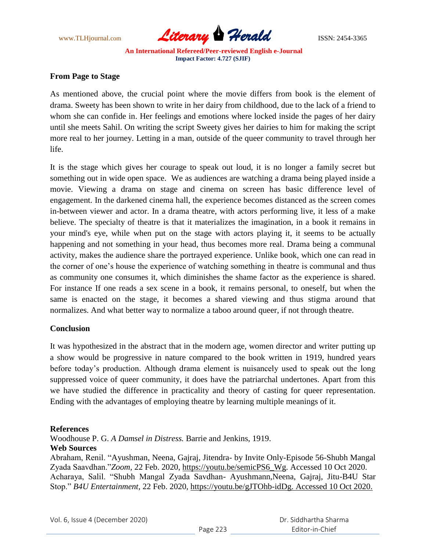

### **From Page to Stage**

As mentioned above, the crucial point where the movie differs from book is the element of drama. Sweety has been shown to write in her dairy from childhood, due to the lack of a friend to whom she can confide in. Her feelings and emotions where locked inside the pages of her dairy until she meets Sahil. On writing the script Sweety gives her dairies to him for making the script more real to her journey. Letting in a man, outside of the queer community to travel through her life.

It is the stage which gives her courage to speak out loud, it is no longer a family secret but something out in wide open space. We as audiences are watching a drama being played inside a movie. Viewing a drama on stage and cinema on screen has basic difference level of engagement. In the darkened cinema hall, the experience becomes distanced as the screen comes in-between viewer and actor. In a drama theatre, with actors performing live, it less of a make believe. The specialty of theatre is that it materializes the imagination, in a book it remains in your mind's eye, while when put on the stage with actors playing it, it seems to be actually happening and not something in your head, thus becomes more real. Drama being a communal activity, makes the audience share the portrayed experience. Unlike book, which one can read in the corner of one"s house the experience of watching something in theatre is communal and thus as community one consumes it, which diminishes the shame factor as the experience is shared. For instance If one reads a sex scene in a book, it remains personal, to oneself, but when the same is enacted on the stage, it becomes a shared viewing and thus stigma around that normalizes. And what better way to normalize a taboo around queer, if not through theatre.

### **Conclusion**

It was hypothesized in the abstract that in the modern age, women director and writer putting up a show would be progressive in nature compared to the book written in 1919, hundred years before today"s production. Although drama element is nuisancely used to speak out the long suppressed voice of queer community, it does have the patriarchal undertones. Apart from this we have studied the difference in practicality and theory of casting for queer representation. Ending with the advantages of employing theatre by learning multiple meanings of it.

#### **References**

Woodhouse P. G. *A Damsel in Distress.* Barrie and Jenkins, 1919.

#### **Web Sources**

Abraham, Renil. "Ayushman, Neena, Gajraj, Jitendra- by Invite Only-Episode 56-Shubh Mangal Zyada Saavdhan."*Zoom,* 22 Feb. 2020, https://youtu.be/semicPS6\_Wg. Accessed 10 Oct 2020. Acharaya, Salil. "Shubh Mangal Zyada Savdhan- Ayushmann,Neena, Gajraj, Jitu-B4U Star Stop." *B4U Entertainment,* 22 Feb. 2020, https://youtu.be/gJTOhb-idDg. Accessed 10 Oct 2020.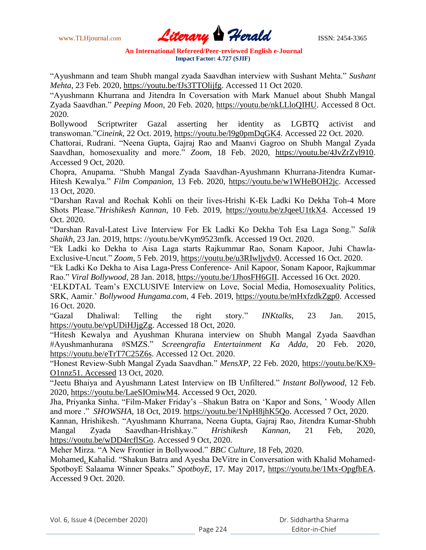www.TLHjournal.com **Literary Herald Herald ISSN: 2454-3365** 

"Ayushmann and team Shubh mangal zyada Saavdhan interview with Sushant Mehta." *Sushant Mehta,* 23 Feb. 2020, https://youtu.be/fJs3TTOlijfg. Accessed 11 Oct 2020.

"Ayushmann Khurrana and Jitendra In Coversation with Mark Manuel about Shubh Mangal Zyada Saavdhan." *Peeping Moon,* 20 Feb. 2020, https://youtu.be/nkLLloQIHU. Accessed 8 Oct. 2020.

Bollywood Scriptwriter Gazal asserting her identity as LGBTQ activist and transwoman."*Cineink,* 22 Oct. 2019, https://youtu.be/l9g0pmDqGK4. Accessed 22 Oct. 2020.

Chattorai, Rudrani. "Neena Gupta, Gajraj Rao and Maanvi Gagroo on Shubh Mangal Zyada Saavdhan, homosexuality and more." *Zoom,* 18 Feb. 2020, https://youtu.be/4JvZrZyl910. Accessed 9 Oct, 2020.

Chopra, Anupama. "Shubh Mangal Zyada Saavdhan-Ayushmann Khurrana-Jitendra Kumar-Hitesh Kewalya." *Film Companion,* 13 Feb. 2020, https://youtu.be/w1WHeBOH2jc. Accessed 13 Oct, 2020.

"Darshan Raval and Rochak Kohli on their lives-Hrishi K-Ek Ladki Ko Dekha Toh-4 More Shots Please."*Hrishikesh Kannan,* 10 Feb. 2019, https://youtu.be/zJqeeU1tkX4. Accessed 19 Oct. 2020.

"Darshan Raval-Latest Live Interview For Ek Ladki Ko Dekha Toh Esa Laga Song." *Salik Shaikh,* 23 Jan. 2019, https: //youtu.be/vKym9523mfk. Accessed 19 Oct. 2020.

"Ek Ladki ko Dekha to Aisa Laga starts Rajkummar Rao, Sonam Kapoor, Juhi Chawla-Exclusive-Uncut." *Zoom,* 5 Feb. 2019, https://youtu.be/u3RIwljvdv0. Accessed 16 Oct. 2020.

"Ek Ladki Ko Dekha to Aisa Laga-Press Conference- Anil Kapoor, Sonam Kapoor, Rajkummar Rao." *Viral Bollywood,* 28 Jan. 2018, https://youtu.be/1JhosFH6GII. Accessed 16 Oct. 2020.

"ELKDTAL Team"s EXCLUSIVE Interview on Love, Social Media, Homosexuality Politics, SRK, Aamir." *Bollywood Hungama.com,* 4 Feb. 2019, https://youtu.be/mHxfzdkZgp0. Accessed 16 Oct. 2020.

"Gazal Dhaliwal: Telling the right story." *INKtalks,* 23 Jan. 2015, https://youtu.be/vpUDiHJjgZg. Accessed 18 Oct, 2020.

"Hitesh Kewalya and Ayushman Khurana interview on Shubh Mangal Zyada Saavdhan #Ayushmanhurana #SMZS." *Screengrafia Entertainment Ka Adda,* 20 Feb. 2020, https://youtu.be/eTrT7C25Z6s. Accessed 12 Oct. 2020.

"Honest Review-Subh Mangal Zyada Saavdhan." *MensXP,* 22 Feb. 2020, https://youtu.be/KX9- O1nnz51. Accessed 13 Oct, 2020.

"Jeetu Bhaiya and Ayushmann Latest Interview on IB Unfiltered." *Instant Bollywood,* 12 Feb. 2020, https://youtu.be/LaeSIOmiwM4. Accessed 9 Oct, 2020.

Jha, Priyanka Sinha. "Film-Maker Friday"s –Shakun Batra on "Kapor and Sons, " Woody Allen and more ." *SHOWSHA,* 18 Oct, 2019. https://youtu.be/1NpH8jhK5Qo. Accessed 7 Oct, 2020.

Kannan, Hrishikesh. "Ayushmann Khurrana, Neena Gupta, Gajraj Rao, Jitendra Kumar-Shubh Mangal Zyada Saavdhan-Hrishkay." *Hrishikesh Kannan,* 21 Feb, 2020, https://youtu.be/wDD4rcflSGo. Accessed 9 Oct, 2020.

Meher Mirza. "A New Frontier in Bollywood." *BBC Culture,* 18 Feb, 2020.

Mohamed, Kahalid. "Shakun Batra and Ayesha DeVitre in Conversation with Khalid Mohamed-SpotboyE Salaama Winner Speaks." *SpotboyE,* 17. May 2017, https://youtu.be/1Mx-OpgfbEA. Accessed 9 Oct. 2020.